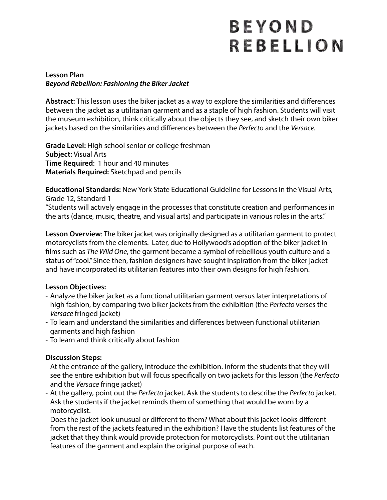# BEYOND REBELLION

#### **Lesson Plan** *Beyond Rebellion: Fashioning the Biker Jacket*

**Abstract:** This lesson uses the biker jacket as a way to explore the similarities and differences between the jacket as a utilitarian garment and as a staple of high fashion. Students will visit the museum exhibition, think critically about the objects they see, and sketch their own biker jackets based on the similarities and differences between the *Perfecto* and the *Versace.*

**Grade Level:** High school senior or college freshman **Subject:** Visual Arts **Time Required**: 1 hour and 40 minutes **Materials Required:** Sketchpad and pencils

**Educational Standards:** New York State Educational Guideline for Lessons in the Visual Arts, Grade 12, Standard 1

"Students will actively engage in the processes that constitute creation and performances in the arts (dance, music, theatre, and visual arts) and participate in various roles in the arts."

**Lesson Overview**: The biker jacket was originally designed as a utilitarian garment to protect motorcyclists from the elements. Later, due to Hollywood's adoption of the biker jacket in flms such as *The Wild One*, the garment became a symbol of rebellious youth culture and a status of "cool." Since then, fashion designers have sought inspiration from the biker jacket and have incorporated its utilitarian features into their own designs for high fashion.

#### **Lesson Objectives:**

- Analyze the biker jacket as a functional utilitarian garment versus later interpretations of high fashion, by comparing two biker jackets from the exhibition (the *Perfecto* verses the *Versace* fringed jacket)
- To learn and understand the similarities and differences between functional utilitarian garments and high fashion
- To learn and think critically about fashion

## **Discussion Steps:**

- At the entrance of the gallery, introduce the exhibition. Inform the students that they will see the entire exhibition but will focus specifcally on two jackets for this lesson (the *Perfecto*  and the *Versace* fringe jacket)
- At the gallery, point out the *Perfecto* jacket. Ask the students to describe the *Perfecto* jacket. Ask the students if the jacket reminds them of something that would be worn by a motorcyclist.
- Does the jacket look unusual or different to them? What about this jacket looks different from the rest of the jackets featured in the exhibition? Have the students list features of the jacket that they think would provide protection for motorcyclists. Point out the utilitarian features of the garment and explain the original purpose of each.